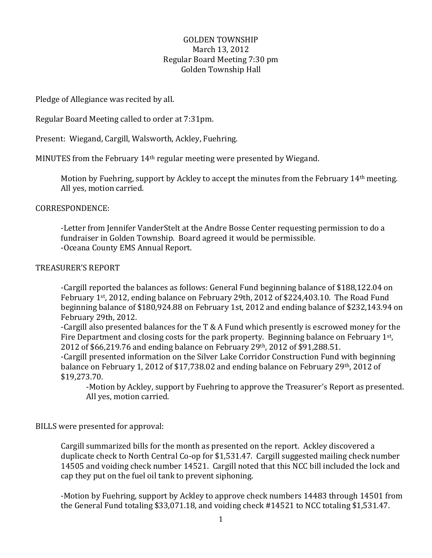### GOLDEN TOWNSHIP March 13, 2012 Regular Board Meeting 7:30 pm Golden Township Hall

Pledge of Allegiance was recited by all.

Regular Board Meeting called to order at 7:31pm.

Present: Wiegand, Cargill, Walsworth, Ackley, Fuehring.

MINUTES from the February 14th regular meeting were presented by Wiegand.

Motion by Fuehring, support by Ackley to accept the minutes from the February 14th meeting. All yes, motion carried.

#### CORRESPONDENCE:

-Letter from Jennifer VanderStelt at the Andre Bosse Center requesting permission to do a fundraiser in Golden Township. Board agreed it would be permissible. -Oceana County EMS Annual Report.

#### TREASURER'S REPORT

-Cargill reported the balances as follows: General Fund beginning balance of \$188,122.04 on February 1<sup>st</sup>, 2012, ending balance on February 29th, 2012 of \$224,403.10. The Road Fund beginning balance of \$180,924.88 on February 1st, 2012 and ending balance of \$232,143.94 on February 29th, 2012.

-Cargill also presented balances for the T & A Fund which presently is escrowed money for the Fire Department and closing costs for the park property. Beginning balance on February 1st, 2012 of \$66,219.76 and ending balance on February 29th, 2012 of \$91,288.51.

-Cargill presented information on the Silver Lake Corridor Construction Fund with beginning balance on February 1, 2012 of \$17,738.02 and ending balance on February 29th, 2012 of \$19,273.70.

-Motion by Ackley, support by Fuehring to approve the Treasurer's Report as presented. All yes, motion carried.

#### BILLS were presented for approval:

Cargill summarized bills for the month as presented on the report. Ackley discovered a duplicate check to North Central Co-op for \$1,531.47. Cargill suggested mailing check number 14505 and voiding check number 14521. Cargill noted that this NCC bill included the lock and cap they put on the fuel oil tank to prevent siphoning.

-Motion by Fuehring, support by Ackley to approve check numbers 14483 through 14501 from the General Fund totaling \$33,071.18, and voiding check #14521 to NCC totaling \$1,531.47.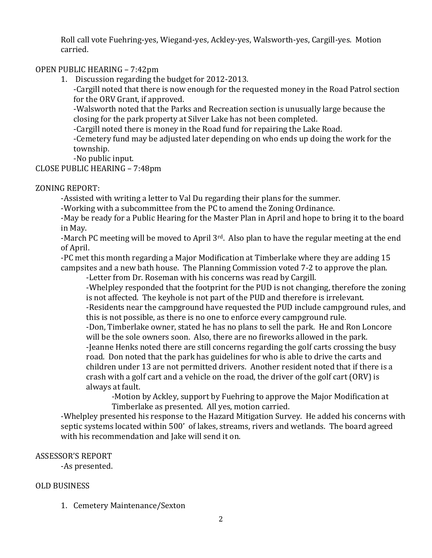Roll call vote Fuehring-yes, Wiegand-yes, Ackley-yes, Walsworth-yes, Cargill-yes. Motion carried.

### OPEN PUBLIC HEARING – 7:42pm

1. Discussion regarding the budget for 2012-2013.

-Cargill noted that there is now enough for the requested money in the Road Patrol section for the ORV Grant, if approved.

-Walsworth noted that the Parks and Recreation section is unusually large because the closing for the park property at Silver Lake has not been completed.

-Cargill noted there is money in the Road fund for repairing the Lake Road.

-Cemetery fund may be adjusted later depending on who ends up doing the work for the township.

-No public input.

CLOSE PUBLIC HEARING – 7:48pm

### ZONING REPORT:

-Assisted with writing a letter to Val Du regarding their plans for the summer.

-Working with a subcommittee from the PC to amend the Zoning Ordinance.

-May be ready for a Public Hearing for the Master Plan in April and hope to bring it to the board in May.

-March PC meeting will be moved to April 3rd. Also plan to have the regular meeting at the end of April.

-PC met this month regarding a Major Modification at Timberlake where they are adding 15 campsites and a new bath house. The Planning Commission voted 7-2 to approve the plan.

-Letter from Dr. Roseman with his concerns was read by Cargill.

-Whelpley responded that the footprint for the PUD is not changing, therefore the zoning is not affected. The keyhole is not part of the PUD and therefore is irrelevant.

-Residents near the campground have requested the PUD include campground rules, and this is not possible, as there is no one to enforce every campground rule.

-Don, Timberlake owner, stated he has no plans to sell the park. He and Ron Loncore will be the sole owners soon. Also, there are no fireworks allowed in the park.

-Jeanne Henks noted there are still concerns regarding the golf carts crossing the busy road. Don noted that the park has guidelines for who is able to drive the carts and children under 13 are not permitted drivers. Another resident noted that if there is a crash with a golf cart and a vehicle on the road, the driver of the golf cart (ORV) is always at fault.

-Motion by Ackley, support by Fuehring to approve the Major Modification at Timberlake as presented. All yes, motion carried.

-Whelpley presented his response to the Hazard Mitigation Survey. He added his concerns with septic systems located within 500' of lakes, streams, rivers and wetlands. The board agreed with his recommendation and Jake will send it on.

# ASSESSOR'S REPORT

-As presented.

# OLD BUSINESS

1. Cemetery Maintenance/Sexton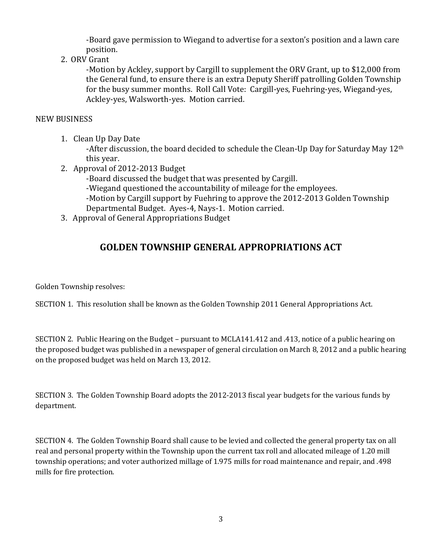-Board gave permission to Wiegand to advertise for a sexton's position and a lawn care position.

### 2. ORV Grant

-Motion by Ackley, support by Cargill to supplement the ORV Grant, up to \$12,000 from the General fund, to ensure there is an extra Deputy Sheriff patrolling Golden Township for the busy summer months. Roll Call Vote: Cargill-yes, Fuehring-yes, Wiegand-yes, Ackley-yes, Walsworth-yes. Motion carried.

#### NEW BUSINESS

1. Clean Up Day Date

-After discussion, the board decided to schedule the Clean-Up Day for Saturday May 12<sup>th</sup> this year.

2. Approval of 2012-2013 Budget

-Board discussed the budget that was presented by Cargill.

-Wiegand questioned the accountability of mileage for the employees.

-Motion by Cargill support by Fuehring to approve the 2012-2013 Golden Township Departmental Budget. Ayes-4, Nays-1. Motion carried.

3. Approval of General Appropriations Budget

# **GOLDEN TOWNSHIP GENERAL APPROPRIATIONS ACT**

Golden Township resolves:

SECTION 1. This resolution shall be known as the Golden Township 2011 General Appropriations Act.

SECTION 2. Public Hearing on the Budget – pursuant to MCLA141.412 and .413, notice of a public hearing on the proposed budget was published in a newspaper of general circulation on March 8, 2012 and a public hearing on the proposed budget was held on March 13, 2012.

SECTION 3. The Golden Township Board adopts the 2012-2013 fiscal year budgets for the various funds by department.

SECTION 4. The Golden Township Board shall cause to be levied and collected the general property tax on all real and personal property within the Township upon the current tax roll and allocated mileage of 1.20 mill township operations; and voter authorized millage of 1.975 mills for road maintenance and repair, and .498 mills for fire protection.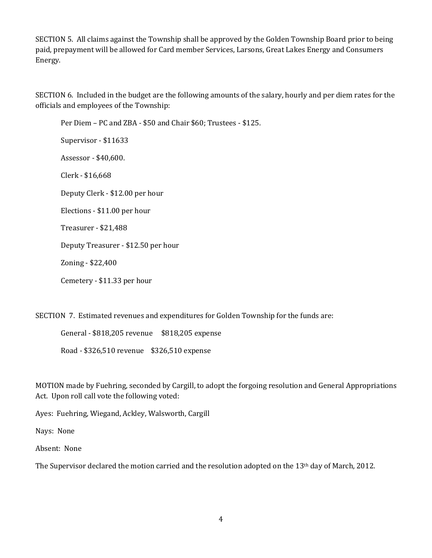SECTION 5. All claims against the Township shall be approved by the Golden Township Board prior to being paid, prepayment will be allowed for Card member Services, Larsons, Great Lakes Energy and Consumers Energy.

SECTION 6. Included in the budget are the following amounts of the salary, hourly and per diem rates for the officials and employees of the Township:

Per Diem – PC and ZBA - \$50 and Chair \$60; Trustees - \$125. Supervisor - \$11633 Assessor - \$40,600. Clerk - \$16,668 Deputy Clerk - \$12.00 per hour Elections - \$11.00 per hour Treasurer - \$21,488 Deputy Treasurer - \$12.50 per hour Zoning - \$22,400 Cemetery - \$11.33 per hour

SECTION 7. Estimated revenues and expenditures for Golden Township for the funds are:

General - \$818,205 revenue \$818,205 expense Road - \$326,510 revenue \$326,510 expense

MOTION made by Fuehring, seconded by Cargill, to adopt the forgoing resolution and General Appropriations Act. Upon roll call vote the following voted:

Ayes: Fuehring, Wiegand, Ackley, Walsworth, Cargill

Nays: None

Absent: None

The Supervisor declared the motion carried and the resolution adopted on the 13th day of March, 2012.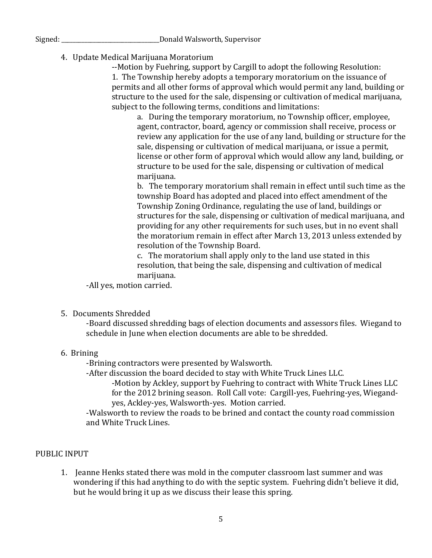Signed: \_\_\_\_\_\_\_\_\_\_\_\_\_\_\_\_\_\_\_\_\_\_\_\_\_\_\_\_\_\_\_\_\_\_Donald Walsworth, Supervisor

4. Update Medical Marijuana Moratorium

--Motion by Fuehring, support by Cargill to adopt the following Resolution: 1. The Township hereby adopts a temporary moratorium on the issuance of permits and all other forms of approval which would permit any land, building or structure to the used for the sale, dispensing or cultivation of medical marijuana, subject to the following terms, conditions and limitations:

a. During the temporary moratorium, no Township officer, employee, agent, contractor, board, agency or commission shall receive, process or review any application for the use of any land, building or structure for the sale, dispensing or cultivation of medical marijuana, or issue a permit, license or other form of approval which would allow any land, building, or structure to be used for the sale, dispensing or cultivation of medical marijuana.

b. The temporary moratorium shall remain in effect until such time as the township Board has adopted and placed into effect amendment of the Township Zoning Ordinance, regulating the use of land, buildings or structures for the sale, dispensing or cultivation of medical marijuana, and providing for any other requirements for such uses, but in no event shall the moratorium remain in effect after March 13, 2013 unless extended by resolution of the Township Board.

c. The moratorium shall apply only to the land use stated in this resolution, that being the sale, dispensing and cultivation of medical marijuana.

-All yes, motion carried.

5. Documents Shredded

-Board discussed shredding bags of election documents and assessors files. Wiegand to schedule in June when election documents are able to be shredded.

# 6. Brining

-Brining contractors were presented by Walsworth.

-After discussion the board decided to stay with White Truck Lines LLC.

-Motion by Ackley, support by Fuehring to contract with White Truck Lines LLC for the 2012 brining season. Roll Call vote: Cargill-yes, Fuehring-yes, Wiegandyes, Ackley-yes, Walsworth-yes. Motion carried.

-Walsworth to review the roads to be brined and contact the county road commission and White Truck Lines.

# PUBLIC INPUT

1. Jeanne Henks stated there was mold in the computer classroom last summer and was wondering if this had anything to do with the septic system. Fuehring didn't believe it did, but he would bring it up as we discuss their lease this spring.